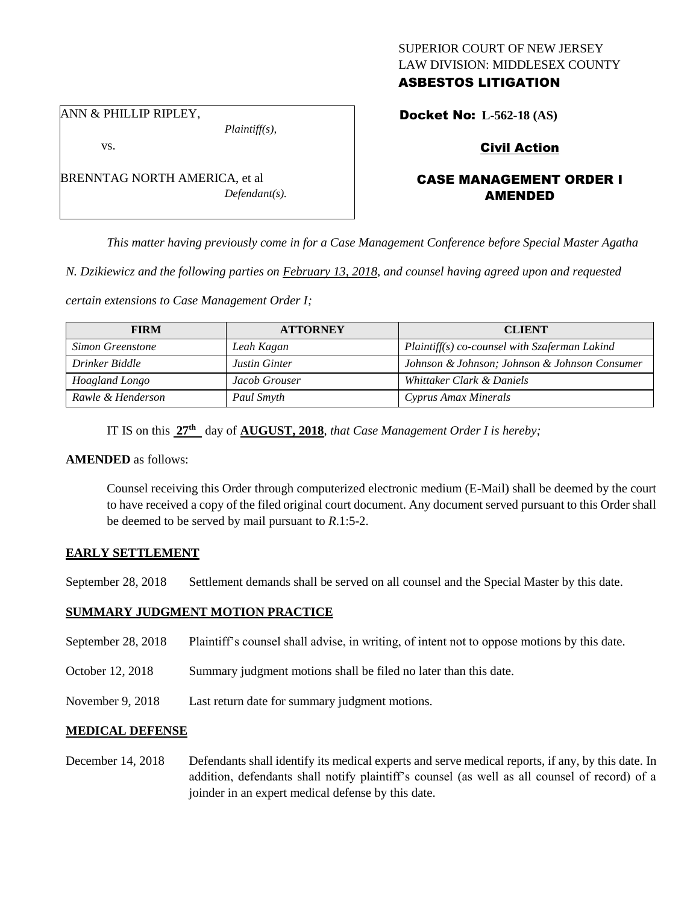## SUPERIOR COURT OF NEW JERSEY LAW DIVISION: MIDDLESEX COUNTY ASBESTOS LITIGATION

ANN & PHILLIP RIPLEY,

vs.

BRENNTAG NORTH AMERICA, et al *Defendant(s).*

*Plaintiff(s),*

Docket No: **L-562-18 (AS)** 

# Civil Action

# CASE MANAGEMENT ORDER I AMENDED

*This matter having previously come in for a Case Management Conference before Special Master Agatha* 

*N. Dzikiewicz and the following parties on February 13, 2018, and counsel having agreed upon and requested* 

*certain extensions to Case Management Order I;*

| <b>FIRM</b>       | <b>ATTORNEY</b> | <b>CLIENT</b>                                 |
|-------------------|-----------------|-----------------------------------------------|
| Simon Greenstone  | Leah Kagan      | Plaintiff(s) co-counsel with Szaferman Lakind |
| Drinker Biddle    | Justin Ginter   | Johnson & Johnson; Johnson & Johnson Consumer |
| Hoagland Longo    | Jacob Grouser   | Whittaker Clark & Daniels                     |
| Rawle & Henderson | Paul Smyth      | Cyprus Amax Minerals                          |

IT IS on this **27th** day of **AUGUST, 2018**, *that Case Management Order I is hereby;*

## **AMENDED** as follows:

Counsel receiving this Order through computerized electronic medium (E-Mail) shall be deemed by the court to have received a copy of the filed original court document. Any document served pursuant to this Order shall be deemed to be served by mail pursuant to *R*.1:5-2.

## **EARLY SETTLEMENT**

September 28, 2018 Settlement demands shall be served on all counsel and the Special Master by this date.

## **SUMMARY JUDGMENT MOTION PRACTICE**

- September 28, 2018 Plaintiff's counsel shall advise, in writing, of intent not to oppose motions by this date.
- October 12, 2018 Summary judgment motions shall be filed no later than this date.
- November 9, 2018 Last return date for summary judgment motions.

## **MEDICAL DEFENSE**

December 14, 2018 Defendants shall identify its medical experts and serve medical reports, if any, by this date. In addition, defendants shall notify plaintiff's counsel (as well as all counsel of record) of a joinder in an expert medical defense by this date.